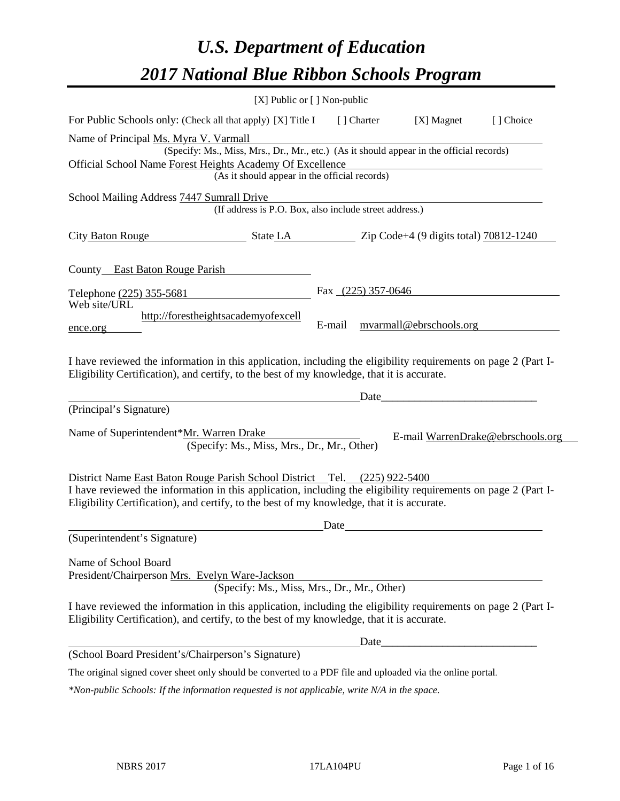# *U.S. Department of Education 2017 National Blue Ribbon Schools Program*

|                                                                                                                                                                                                              | [X] Public or [] Non-public                                                              |                      |             |                         |                                   |
|--------------------------------------------------------------------------------------------------------------------------------------------------------------------------------------------------------------|------------------------------------------------------------------------------------------|----------------------|-------------|-------------------------|-----------------------------------|
| For Public Schools only: (Check all that apply) [X] Title I                                                                                                                                                  |                                                                                          |                      | [ ] Charter | [X] Magnet              | [] Choice                         |
| Name of Principal Ms. Myra V. Varmall                                                                                                                                                                        |                                                                                          |                      |             |                         |                                   |
|                                                                                                                                                                                                              | (Specify: Ms., Miss, Mrs., Dr., Mr., etc.) (As it should appear in the official records) |                      |             |                         |                                   |
| Official School Name Forest Heights Academy Of Excellence                                                                                                                                                    | (As it should appear in the official records)                                            |                      |             |                         |                                   |
| School Mailing Address 7447 Sumrall Drive                                                                                                                                                                    |                                                                                          |                      |             |                         |                                   |
|                                                                                                                                                                                                              | (If address is P.O. Box, also include street address.)                                   |                      |             |                         |                                   |
| City Baton Rouge State LA Zip Code+4 (9 digits total) 70812-1240                                                                                                                                             |                                                                                          |                      |             |                         |                                   |
| County East Baton Rouge Parish                                                                                                                                                                               |                                                                                          |                      |             |                         |                                   |
| Telephone (225) 355-5681                                                                                                                                                                                     |                                                                                          | Fax $(225)$ 357-0646 |             |                         |                                   |
| Web site/URL                                                                                                                                                                                                 |                                                                                          |                      |             |                         |                                   |
| ence.org                                                                                                                                                                                                     | http://forestheightsacademyofexcell                                                      | E-mail               |             | myarmall@ebrschools.org |                                   |
| Eligibility Certification), and certify, to the best of my knowledge, that it is accurate.<br>(Principal's Signature)                                                                                        |                                                                                          |                      | Date_       |                         |                                   |
|                                                                                                                                                                                                              |                                                                                          |                      |             |                         |                                   |
| Name of Superintendent*Mr. Warren Drake                                                                                                                                                                      | (Specify: Ms., Miss, Mrs., Dr., Mr., Other)                                              |                      |             |                         | E-mail WarrenDrake@ebrschools.org |
| District Name East Baton Rouge Parish School District Tel. (225) 922-5400                                                                                                                                    |                                                                                          |                      |             |                         |                                   |
| I have reviewed the information in this application, including the eligibility requirements on page 2 (Part I-<br>Eligibility Certification), and certify, to the best of my knowledge, that it is accurate. |                                                                                          |                      |             |                         |                                   |
|                                                                                                                                                                                                              |                                                                                          | Date                 |             |                         |                                   |
| (Superintendent's Signature)                                                                                                                                                                                 |                                                                                          |                      |             |                         |                                   |
| Name of School Board<br>President/Chairperson Mrs. Evelyn Ware-Jackson                                                                                                                                       |                                                                                          |                      |             |                         |                                   |
|                                                                                                                                                                                                              | (Specify: Ms., Miss, Mrs., Dr., Mr., Other)                                              |                      |             |                         |                                   |
| I have reviewed the information in this application, including the eligibility requirements on page 2 (Part I-<br>Eligibility Certification), and certify, to the best of my knowledge, that it is accurate. |                                                                                          |                      |             |                         |                                   |
|                                                                                                                                                                                                              |                                                                                          |                      |             |                         |                                   |
| (School Board President's/Chairperson's Signature)                                                                                                                                                           |                                                                                          |                      |             |                         |                                   |
| The original signed cover sheet only should be converted to a PDF file and uploaded via the online portal.                                                                                                   |                                                                                          |                      |             |                         |                                   |
| *Non-public Schools: If the information requested is not applicable, write N/A in the space.                                                                                                                 |                                                                                          |                      |             |                         |                                   |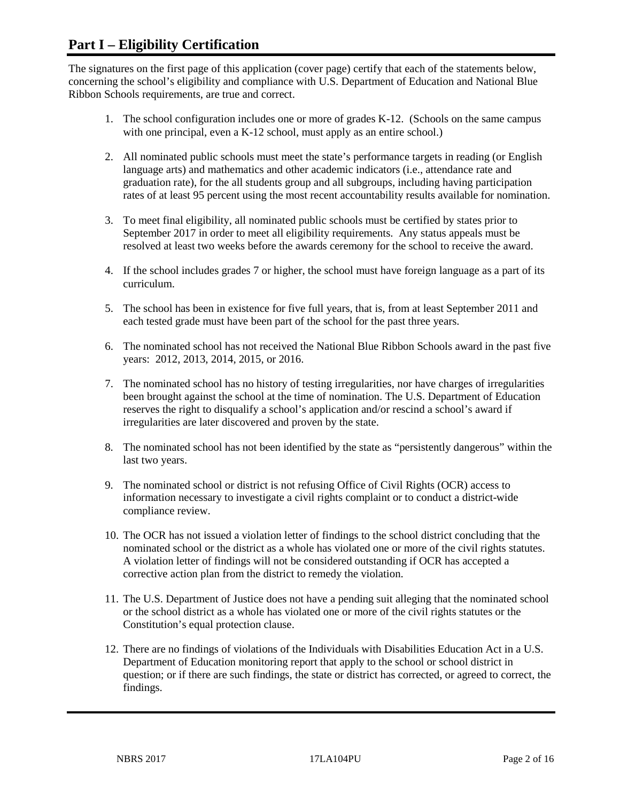## **Part I – Eligibility Certification**

The signatures on the first page of this application (cover page) certify that each of the statements below, concerning the school's eligibility and compliance with U.S. Department of Education and National Blue Ribbon Schools requirements, are true and correct.

- 1. The school configuration includes one or more of grades K-12. (Schools on the same campus with one principal, even a K-12 school, must apply as an entire school.)
- 2. All nominated public schools must meet the state's performance targets in reading (or English language arts) and mathematics and other academic indicators (i.e., attendance rate and graduation rate), for the all students group and all subgroups, including having participation rates of at least 95 percent using the most recent accountability results available for nomination.
- 3. To meet final eligibility, all nominated public schools must be certified by states prior to September 2017 in order to meet all eligibility requirements. Any status appeals must be resolved at least two weeks before the awards ceremony for the school to receive the award.
- 4. If the school includes grades 7 or higher, the school must have foreign language as a part of its curriculum.
- 5. The school has been in existence for five full years, that is, from at least September 2011 and each tested grade must have been part of the school for the past three years.
- 6. The nominated school has not received the National Blue Ribbon Schools award in the past five years: 2012, 2013, 2014, 2015, or 2016.
- 7. The nominated school has no history of testing irregularities, nor have charges of irregularities been brought against the school at the time of nomination. The U.S. Department of Education reserves the right to disqualify a school's application and/or rescind a school's award if irregularities are later discovered and proven by the state.
- 8. The nominated school has not been identified by the state as "persistently dangerous" within the last two years.
- 9. The nominated school or district is not refusing Office of Civil Rights (OCR) access to information necessary to investigate a civil rights complaint or to conduct a district-wide compliance review.
- 10. The OCR has not issued a violation letter of findings to the school district concluding that the nominated school or the district as a whole has violated one or more of the civil rights statutes. A violation letter of findings will not be considered outstanding if OCR has accepted a corrective action plan from the district to remedy the violation.
- 11. The U.S. Department of Justice does not have a pending suit alleging that the nominated school or the school district as a whole has violated one or more of the civil rights statutes or the Constitution's equal protection clause.
- 12. There are no findings of violations of the Individuals with Disabilities Education Act in a U.S. Department of Education monitoring report that apply to the school or school district in question; or if there are such findings, the state or district has corrected, or agreed to correct, the findings.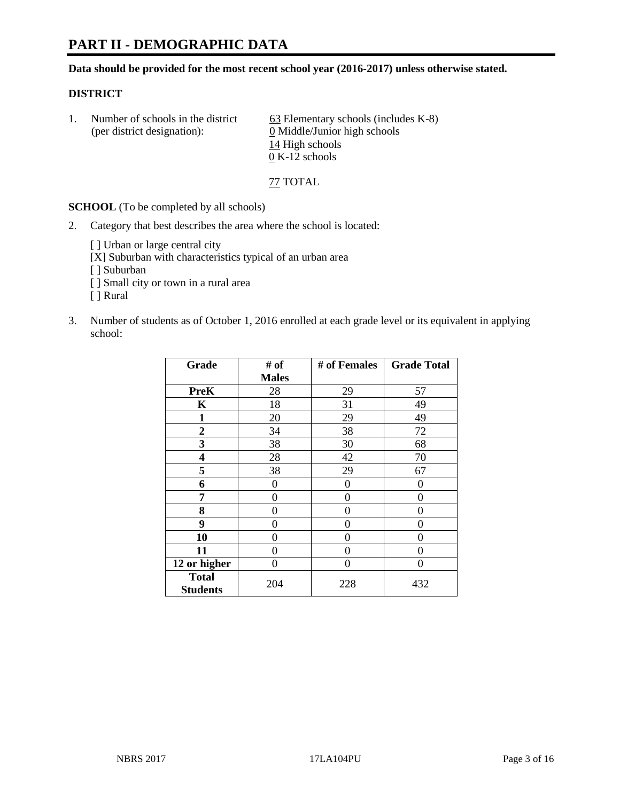# **PART II - DEMOGRAPHIC DATA**

**Data should be provided for the most recent school year (2016-2017) unless otherwise stated.** 

#### **DISTRICT**

|  | Number of schools in the district<br>(per district designation): | $63$ Elementary schools (includes K-8)<br>0 Middle/Junior high schools |
|--|------------------------------------------------------------------|------------------------------------------------------------------------|
|  |                                                                  | 14 High schools                                                        |
|  |                                                                  | $0 K-12$ schools                                                       |

77 TOTAL

**SCHOOL** (To be completed by all schools)

- 2. Category that best describes the area where the school is located:
	- [] Urban or large central city
	- [X] Suburban with characteristics typical of an urban area
	- [ ] Suburban
	- [ ] Small city or town in a rural area
	- [ ] Rural
- 3. Number of students as of October 1, 2016 enrolled at each grade level or its equivalent in applying school:

| Grade           | # of         | # of Females | <b>Grade Total</b> |
|-----------------|--------------|--------------|--------------------|
|                 | <b>Males</b> |              |                    |
| <b>PreK</b>     | 28           | 29           | 57                 |
| K               | 18           | 31           | 49                 |
| 1               | 20           | 29           | 49                 |
| $\overline{2}$  | 34           | 38           | 72                 |
| 3               | 38           | 30           | 68                 |
| 4               | 28           | 42           | 70                 |
| 5               | 38           | 29           | 67                 |
| 6               | 0            | 0            | 0                  |
| 7               | 0            | 0            | 0                  |
| 8               | 0            | 0            | 0                  |
| 9               | 0            | 0            | 0                  |
| 10              | 0            | 0            | 0                  |
| 11              | 0            | 0            | 0                  |
| 12 or higher    | 0            | 0            | 0                  |
| <b>Total</b>    |              |              |                    |
| <b>Students</b> | 204          | 228          | 432                |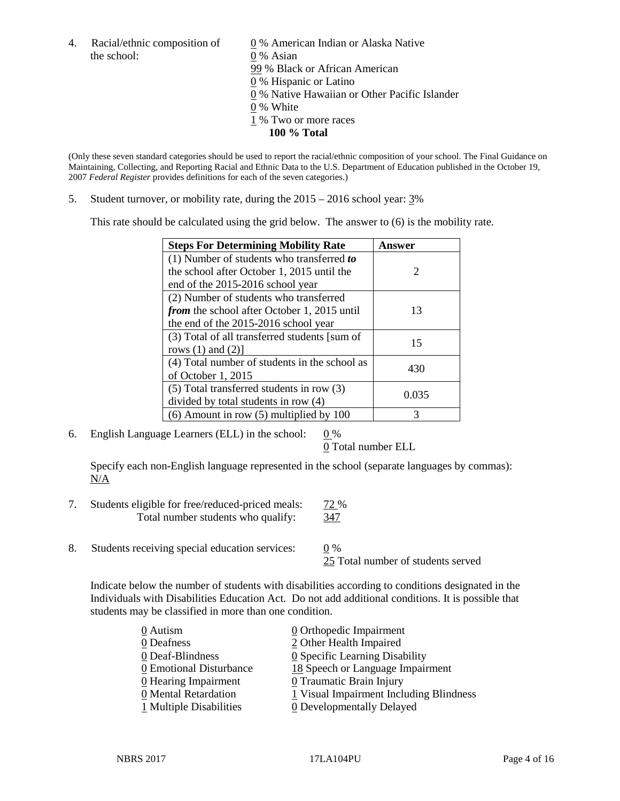the school: 0 % Asian

4. Racial/ethnic composition of  $\qquad 0 \%$  American Indian or Alaska Native 99 % Black or African American 0 % Hispanic or Latino 0 % Native Hawaiian or Other Pacific Islander 0 % White 1 % Two or more races **100 % Total**

(Only these seven standard categories should be used to report the racial/ethnic composition of your school. The Final Guidance on Maintaining, Collecting, and Reporting Racial and Ethnic Data to the U.S. Department of Education published in the October 19, 2007 *Federal Register* provides definitions for each of the seven categories.)

5. Student turnover, or mobility rate, during the 2015 – 2016 school year: 3%

This rate should be calculated using the grid below. The answer to (6) is the mobility rate.

| <b>Steps For Determining Mobility Rate</b>    | Answer                |  |
|-----------------------------------------------|-----------------------|--|
| (1) Number of students who transferred to     |                       |  |
| the school after October 1, 2015 until the    | $\mathcal{D}_{\cdot}$ |  |
| end of the 2015-2016 school year              |                       |  |
| (2) Number of students who transferred        |                       |  |
| from the school after October 1, 2015 until   | 13                    |  |
| the end of the 2015-2016 school year          |                       |  |
| (3) Total of all transferred students [sum of | 15                    |  |
| rows $(1)$ and $(2)$ ]                        |                       |  |
| (4) Total number of students in the school as |                       |  |
| of October 1, 2015                            | 430                   |  |
| (5) Total transferred students in row (3)     |                       |  |
| divided by total students in row (4)          | 0.035                 |  |
| $(6)$ Amount in row $(5)$ multiplied by 100   | 3                     |  |

6. English Language Learners (ELL) in the school:  $0\%$ 

0 Total number ELL

Specify each non-English language represented in the school (separate languages by commas): N/A

- 7. Students eligible for free/reduced-priced meals: 72 % Total number students who qualify: 347
- 8. Students receiving special education services: 0 %

25 Total number of students served

Indicate below the number of students with disabilities according to conditions designated in the Individuals with Disabilities Education Act. Do not add additional conditions. It is possible that students may be classified in more than one condition.

| 0 Autism                | $\underline{0}$ Orthopedic Impairment   |
|-------------------------|-----------------------------------------|
| 0 Deafness              | 2 Other Health Impaired                 |
| 0 Deaf-Blindness        | 0 Specific Learning Disability          |
| 0 Emotional Disturbance | 18 Speech or Language Impairment        |
| 0 Hearing Impairment    | 0 Traumatic Brain Injury                |
| 0 Mental Retardation    | 1 Visual Impairment Including Blindness |
| 1 Multiple Disabilities | <b>0</b> Developmentally Delayed        |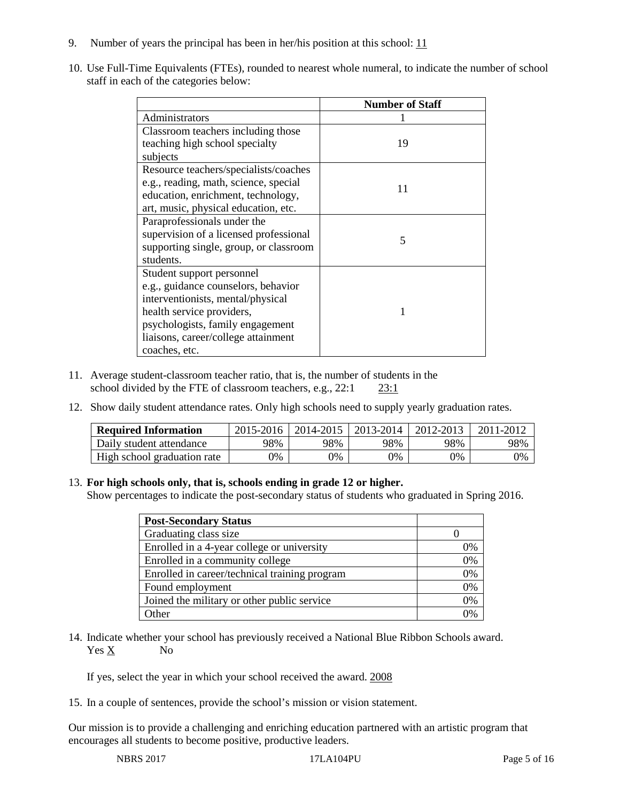- 9. Number of years the principal has been in her/his position at this school:  $\frac{11}{11}$
- 10. Use Full-Time Equivalents (FTEs), rounded to nearest whole numeral, to indicate the number of school staff in each of the categories below:

|                                        | <b>Number of Staff</b>   |
|----------------------------------------|--------------------------|
| Administrators                         |                          |
| Classroom teachers including those     |                          |
| teaching high school specialty         | 19                       |
| subjects                               |                          |
| Resource teachers/specialists/coaches  |                          |
| e.g., reading, math, science, special  | 11                       |
| education, enrichment, technology,     |                          |
| art, music, physical education, etc.   |                          |
| Paraprofessionals under the            |                          |
| supervision of a licensed professional | $\overline{\mathcal{L}}$ |
| supporting single, group, or classroom |                          |
| students.                              |                          |
| Student support personnel              |                          |
| e.g., guidance counselors, behavior    |                          |
| interventionists, mental/physical      |                          |
| health service providers,              |                          |
| psychologists, family engagement       |                          |
| liaisons, career/college attainment    |                          |
| coaches, etc.                          |                          |

- 11. Average student-classroom teacher ratio, that is, the number of students in the school divided by the FTE of classroom teachers, e.g., 22:1 23:1
- 12. Show daily student attendance rates. Only high schools need to supply yearly graduation rates.

| <b>Required Information</b> | 2015-2016 | 2014-2015 | 2013-2014 | 2012-2013 |     |
|-----------------------------|-----------|-----------|-----------|-----------|-----|
| Daily student attendance    | 98%       | 98%       | 98%       | 98%       | 98% |
| High school graduation rate | 0%        | 0%        | 0%        | 9%        | 0%  |

#### 13. **For high schools only, that is, schools ending in grade 12 or higher.**

Show percentages to indicate the post-secondary status of students who graduated in Spring 2016.

| <b>Post-Secondary Status</b>                  |    |
|-----------------------------------------------|----|
| Graduating class size                         |    |
| Enrolled in a 4-year college or university    | 0% |
| Enrolled in a community college               | 0% |
| Enrolled in career/technical training program | 0% |
| Found employment                              | 0% |
| Joined the military or other public service   | 0% |
| .)ther                                        |    |

14. Indicate whether your school has previously received a National Blue Ribbon Schools award. Yes X No

If yes, select the year in which your school received the award. 2008

15. In a couple of sentences, provide the school's mission or vision statement.

Our mission is to provide a challenging and enriching education partnered with an artistic program that encourages all students to become positive, productive leaders.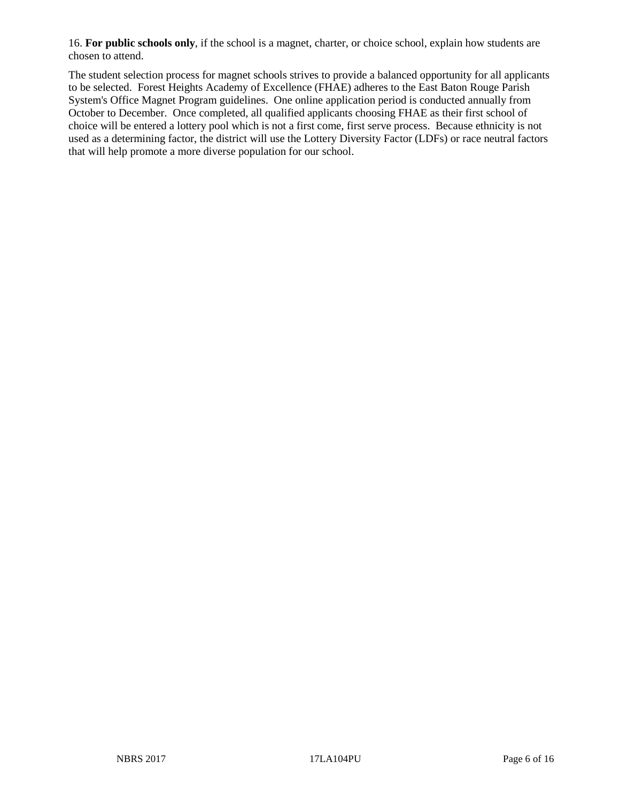16. **For public schools only**, if the school is a magnet, charter, or choice school, explain how students are chosen to attend.

The student selection process for magnet schools strives to provide a balanced opportunity for all applicants to be selected. Forest Heights Academy of Excellence (FHAE) adheres to the East Baton Rouge Parish System's Office Magnet Program guidelines. One online application period is conducted annually from October to December. Once completed, all qualified applicants choosing FHAE as their first school of choice will be entered a lottery pool which is not a first come, first serve process. Because ethnicity is not used as a determining factor, the district will use the Lottery Diversity Factor (LDFs) or race neutral factors that will help promote a more diverse population for our school.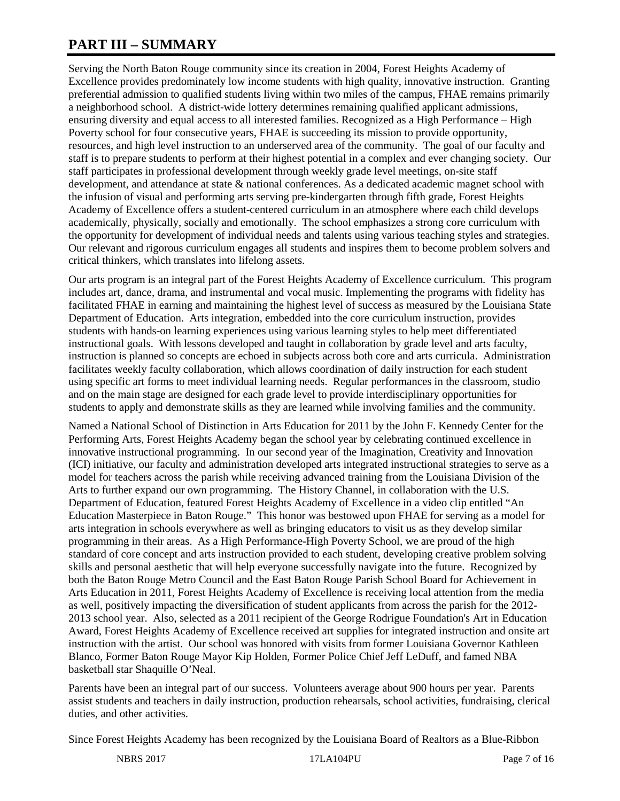# **PART III – SUMMARY**

Serving the North Baton Rouge community since its creation in 2004, Forest Heights Academy of Excellence provides predominately low income students with high quality, innovative instruction. Granting preferential admission to qualified students living within two miles of the campus, FHAE remains primarily a neighborhood school. A district-wide lottery determines remaining qualified applicant admissions, ensuring diversity and equal access to all interested families. Recognized as a High Performance – High Poverty school for four consecutive years, FHAE is succeeding its mission to provide opportunity, resources, and high level instruction to an underserved area of the community. The goal of our faculty and staff is to prepare students to perform at their highest potential in a complex and ever changing society. Our staff participates in professional development through weekly grade level meetings, on-site staff development, and attendance at state & national conferences. As a dedicated academic magnet school with the infusion of visual and performing arts serving pre-kindergarten through fifth grade, Forest Heights Academy of Excellence offers a student-centered curriculum in an atmosphere where each child develops academically, physically, socially and emotionally. The school emphasizes a strong core curriculum with the opportunity for development of individual needs and talents using various teaching styles and strategies. Our relevant and rigorous curriculum engages all students and inspires them to become problem solvers and critical thinkers, which translates into lifelong assets.

Our arts program is an integral part of the Forest Heights Academy of Excellence curriculum. This program includes art, dance, drama, and instrumental and vocal music. Implementing the programs with fidelity has facilitated FHAE in earning and maintaining the highest level of success as measured by the Louisiana State Department of Education. Arts integration, embedded into the core curriculum instruction, provides students with hands-on learning experiences using various learning styles to help meet differentiated instructional goals. With lessons developed and taught in collaboration by grade level and arts faculty, instruction is planned so concepts are echoed in subjects across both core and arts curricula. Administration facilitates weekly faculty collaboration, which allows coordination of daily instruction for each student using specific art forms to meet individual learning needs. Regular performances in the classroom, studio and on the main stage are designed for each grade level to provide interdisciplinary opportunities for students to apply and demonstrate skills as they are learned while involving families and the community.

Named a National School of Distinction in Arts Education for 2011 by the John F. Kennedy Center for the Performing Arts, Forest Heights Academy began the school year by celebrating continued excellence in innovative instructional programming. In our second year of the Imagination, Creativity and Innovation (ICI) initiative, our faculty and administration developed arts integrated instructional strategies to serve as a model for teachers across the parish while receiving advanced training from the Louisiana Division of the Arts to further expand our own programming. The History Channel, in collaboration with the U.S. Department of Education, featured Forest Heights Academy of Excellence in a video clip entitled "An Education Masterpiece in Baton Rouge." This honor was bestowed upon FHAE for serving as a model for arts integration in schools everywhere as well as bringing educators to visit us as they develop similar programming in their areas. As a High Performance-High Poverty School, we are proud of the high standard of core concept and arts instruction provided to each student, developing creative problem solving skills and personal aesthetic that will help everyone successfully navigate into the future. Recognized by both the Baton Rouge Metro Council and the East Baton Rouge Parish School Board for Achievement in Arts Education in 2011, Forest Heights Academy of Excellence is receiving local attention from the media as well, positively impacting the diversification of student applicants from across the parish for the 2012- 2013 school year. Also, selected as a 2011 recipient of the George Rodrigue Foundation's Art in Education Award, Forest Heights Academy of Excellence received art supplies for integrated instruction and onsite art instruction with the artist. Our school was honored with visits from former Louisiana Governor Kathleen Blanco, Former Baton Rouge Mayor Kip Holden, Former Police Chief Jeff LeDuff, and famed NBA basketball star Shaquille O'Neal.

Parents have been an integral part of our success. Volunteers average about 900 hours per year. Parents assist students and teachers in daily instruction, production rehearsals, school activities, fundraising, clerical duties, and other activities.

Since Forest Heights Academy has been recognized by the Louisiana Board of Realtors as a Blue-Ribbon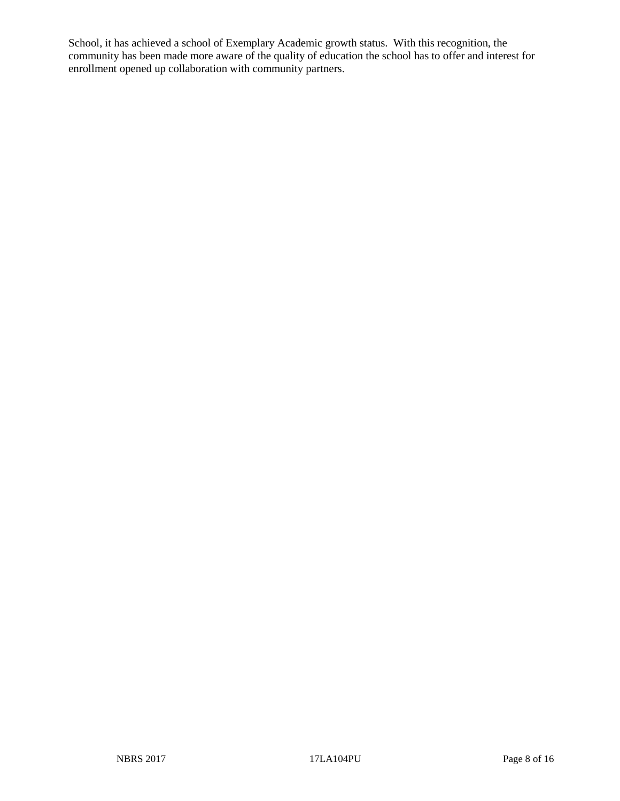School, it has achieved a school of Exemplary Academic growth status. With this recognition, the community has been made more aware of the quality of education the school has to offer and interest for enrollment opened up collaboration with community partners.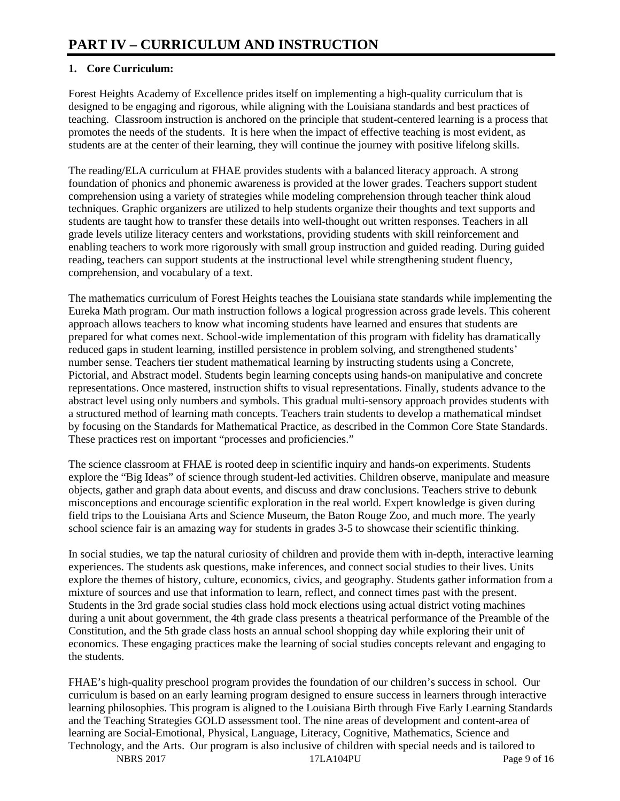## **1. Core Curriculum:**

Forest Heights Academy of Excellence prides itself on implementing a high-quality curriculum that is designed to be engaging and rigorous, while aligning with the Louisiana standards and best practices of teaching. Classroom instruction is anchored on the principle that student-centered learning is a process that promotes the needs of the students. It is here when the impact of effective teaching is most evident, as students are at the center of their learning, they will continue the journey with positive lifelong skills.

The reading/ELA curriculum at FHAE provides students with a balanced literacy approach. A strong foundation of phonics and phonemic awareness is provided at the lower grades. Teachers support student comprehension using a variety of strategies while modeling comprehension through teacher think aloud techniques. Graphic organizers are utilized to help students organize their thoughts and text supports and students are taught how to transfer these details into well-thought out written responses. Teachers in all grade levels utilize literacy centers and workstations, providing students with skill reinforcement and enabling teachers to work more rigorously with small group instruction and guided reading. During guided reading, teachers can support students at the instructional level while strengthening student fluency, comprehension, and vocabulary of a text.

The mathematics curriculum of Forest Heights teaches the Louisiana state standards while implementing the Eureka Math program. Our math instruction follows a logical progression across grade levels. This coherent approach allows teachers to know what incoming students have learned and ensures that students are prepared for what comes next. School-wide implementation of this program with fidelity has dramatically reduced gaps in student learning, instilled persistence in problem solving, and strengthened students' number sense. Teachers tier student mathematical learning by instructing students using a Concrete, Pictorial, and Abstract model. Students begin learning concepts using hands-on manipulative and concrete representations. Once mastered, instruction shifts to visual representations. Finally, students advance to the abstract level using only numbers and symbols. This gradual multi-sensory approach provides students with a structured method of learning math concepts. Teachers train students to develop a mathematical mindset by focusing on the Standards for Mathematical Practice, as described in the Common Core State Standards. These practices rest on important "processes and proficiencies."

The science classroom at FHAE is rooted deep in scientific inquiry and hands-on experiments. Students explore the "Big Ideas" of science through student-led activities. Children observe, manipulate and measure objects, gather and graph data about events, and discuss and draw conclusions. Teachers strive to debunk misconceptions and encourage scientific exploration in the real world. Expert knowledge is given during field trips to the Louisiana Arts and Science Museum, the Baton Rouge Zoo, and much more. The yearly school science fair is an amazing way for students in grades 3-5 to showcase their scientific thinking.

In social studies, we tap the natural curiosity of children and provide them with in-depth, interactive learning experiences. The students ask questions, make inferences, and connect social studies to their lives. Units explore the themes of history, culture, economics, civics, and geography. Students gather information from a mixture of sources and use that information to learn, reflect, and connect times past with the present. Students in the 3rd grade social studies class hold mock elections using actual district voting machines during a unit about government, the 4th grade class presents a theatrical performance of the Preamble of the Constitution, and the 5th grade class hosts an annual school shopping day while exploring their unit of economics. These engaging practices make the learning of social studies concepts relevant and engaging to the students.

FHAE's high-quality preschool program provides the foundation of our children's success in school. Our curriculum is based on an early learning program designed to ensure success in learners through interactive learning philosophies. This program is aligned to the Louisiana Birth through Five Early Learning Standards and the Teaching Strategies GOLD assessment tool. The nine areas of development and content-area of learning are Social-Emotional, Physical, Language, Literacy, Cognitive, Mathematics, Science and Technology, and the Arts. Our program is also inclusive of children with special needs and is tailored to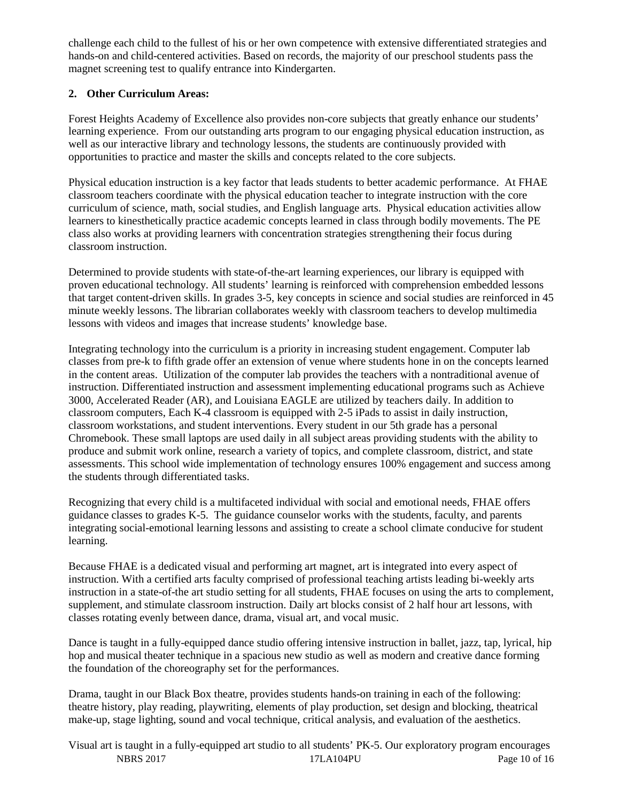challenge each child to the fullest of his or her own competence with extensive differentiated strategies and hands-on and child-centered activities. Based on records, the majority of our preschool students pass the magnet screening test to qualify entrance into Kindergarten.

## **2. Other Curriculum Areas:**

Forest Heights Academy of Excellence also provides non-core subjects that greatly enhance our students' learning experience. From our outstanding arts program to our engaging physical education instruction, as well as our interactive library and technology lessons, the students are continuously provided with opportunities to practice and master the skills and concepts related to the core subjects.

Physical education instruction is a key factor that leads students to better academic performance. At FHAE classroom teachers coordinate with the physical education teacher to integrate instruction with the core curriculum of science, math, social studies, and English language arts. Physical education activities allow learners to kinesthetically practice academic concepts learned in class through bodily movements. The PE class also works at providing learners with concentration strategies strengthening their focus during classroom instruction.

Determined to provide students with state-of-the-art learning experiences, our library is equipped with proven educational technology. All students' learning is reinforced with comprehension embedded lessons that target content-driven skills. In grades 3-5, key concepts in science and social studies are reinforced in 45 minute weekly lessons. The librarian collaborates weekly with classroom teachers to develop multimedia lessons with videos and images that increase students' knowledge base.

Integrating technology into the curriculum is a priority in increasing student engagement. Computer lab classes from pre-k to fifth grade offer an extension of venue where students hone in on the concepts learned in the content areas. Utilization of the computer lab provides the teachers with a nontraditional avenue of instruction. Differentiated instruction and assessment implementing educational programs such as Achieve 3000, Accelerated Reader (AR), and Louisiana EAGLE are utilized by teachers daily. In addition to classroom computers, Each K-4 classroom is equipped with 2-5 iPads to assist in daily instruction, classroom workstations, and student interventions. Every student in our 5th grade has a personal Chromebook. These small laptops are used daily in all subject areas providing students with the ability to produce and submit work online, research a variety of topics, and complete classroom, district, and state assessments. This school wide implementation of technology ensures 100% engagement and success among the students through differentiated tasks.

Recognizing that every child is a multifaceted individual with social and emotional needs, FHAE offers guidance classes to grades K-5. The guidance counselor works with the students, faculty, and parents integrating social-emotional learning lessons and assisting to create a school climate conducive for student learning.

Because FHAE is a dedicated visual and performing art magnet, art is integrated into every aspect of instruction. With a certified arts faculty comprised of professional teaching artists leading bi-weekly arts instruction in a state-of-the art studio setting for all students, FHAE focuses on using the arts to complement, supplement, and stimulate classroom instruction. Daily art blocks consist of 2 half hour art lessons, with classes rotating evenly between dance, drama, visual art, and vocal music.

Dance is taught in a fully-equipped dance studio offering intensive instruction in ballet, jazz, tap, lyrical, hip hop and musical theater technique in a spacious new studio as well as modern and creative dance forming the foundation of the choreography set for the performances.

Drama, taught in our Black Box theatre, provides students hands-on training in each of the following: theatre history, play reading, playwriting, elements of play production, set design and blocking, theatrical make-up, stage lighting, sound and vocal technique, critical analysis, and evaluation of the aesthetics.

NBRS 2017 17LA104PU Page 10 of 16 Visual art is taught in a fully-equipped art studio to all students' PK-5. Our exploratory program encourages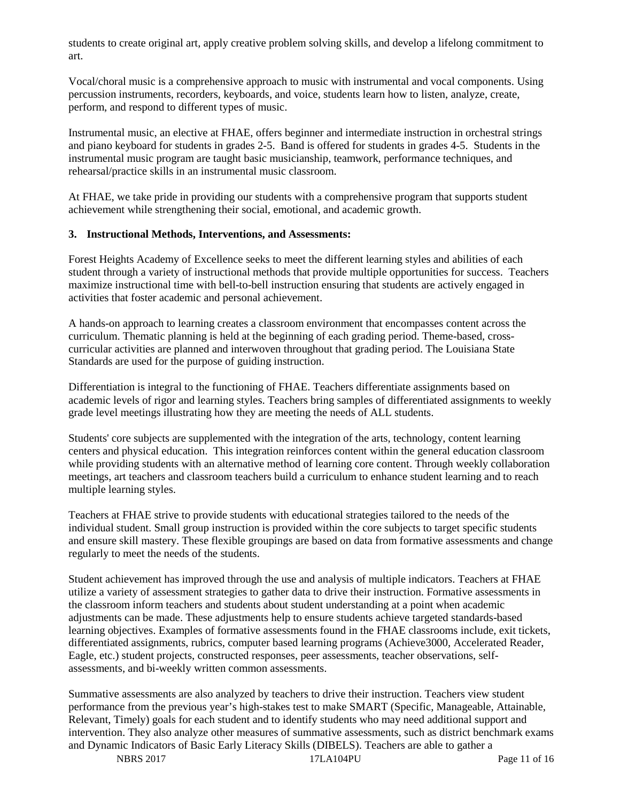students to create original art, apply creative problem solving skills, and develop a lifelong commitment to art.

Vocal/choral music is a comprehensive approach to music with instrumental and vocal components. Using percussion instruments, recorders, keyboards, and voice, students learn how to listen, analyze, create, perform, and respond to different types of music.

Instrumental music, an elective at FHAE, offers beginner and intermediate instruction in orchestral strings and piano keyboard for students in grades 2-5. Band is offered for students in grades 4-5. Students in the instrumental music program are taught basic musicianship, teamwork, performance techniques, and rehearsal/practice skills in an instrumental music classroom.

At FHAE, we take pride in providing our students with a comprehensive program that supports student achievement while strengthening their social, emotional, and academic growth.

#### **3. Instructional Methods, Interventions, and Assessments:**

Forest Heights Academy of Excellence seeks to meet the different learning styles and abilities of each student through a variety of instructional methods that provide multiple opportunities for success. Teachers maximize instructional time with bell-to-bell instruction ensuring that students are actively engaged in activities that foster academic and personal achievement.

A hands-on approach to learning creates a classroom environment that encompasses content across the curriculum. Thematic planning is held at the beginning of each grading period. Theme-based, crosscurricular activities are planned and interwoven throughout that grading period. The Louisiana State Standards are used for the purpose of guiding instruction.

Differentiation is integral to the functioning of FHAE. Teachers differentiate assignments based on academic levels of rigor and learning styles. Teachers bring samples of differentiated assignments to weekly grade level meetings illustrating how they are meeting the needs of ALL students.

Students' core subjects are supplemented with the integration of the arts, technology, content learning centers and physical education. This integration reinforces content within the general education classroom while providing students with an alternative method of learning core content. Through weekly collaboration meetings, art teachers and classroom teachers build a curriculum to enhance student learning and to reach multiple learning styles.

Teachers at FHAE strive to provide students with educational strategies tailored to the needs of the individual student. Small group instruction is provided within the core subjects to target specific students and ensure skill mastery. These flexible groupings are based on data from formative assessments and change regularly to meet the needs of the students.

Student achievement has improved through the use and analysis of multiple indicators. Teachers at FHAE utilize a variety of assessment strategies to gather data to drive their instruction. Formative assessments in the classroom inform teachers and students about student understanding at a point when academic adjustments can be made. These adjustments help to ensure students achieve targeted standards-based learning objectives. Examples of formative assessments found in the FHAE classrooms include, exit tickets, differentiated assignments, rubrics, computer based learning programs (Achieve3000, Accelerated Reader, Eagle, etc.) student projects, constructed responses, peer assessments, teacher observations, selfassessments, and bi-weekly written common assessments.

Summative assessments are also analyzed by teachers to drive their instruction. Teachers view student performance from the previous year's high-stakes test to make SMART (Specific, Manageable, Attainable, Relevant, Timely) goals for each student and to identify students who may need additional support and intervention. They also analyze other measures of summative assessments, such as district benchmark exams and Dynamic Indicators of Basic Early Literacy Skills (DIBELS). Teachers are able to gather a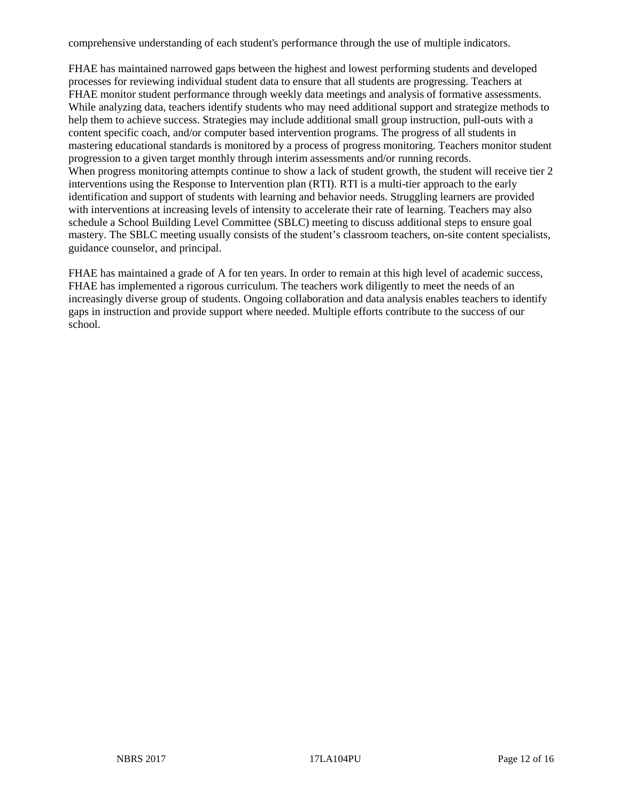comprehensive understanding of each student's performance through the use of multiple indicators.

FHAE has maintained narrowed gaps between the highest and lowest performing students and developed processes for reviewing individual student data to ensure that all students are progressing. Teachers at FHAE monitor student performance through weekly data meetings and analysis of formative assessments. While analyzing data, teachers identify students who may need additional support and strategize methods to help them to achieve success. Strategies may include additional small group instruction, pull-outs with a content specific coach, and/or computer based intervention programs. The progress of all students in mastering educational standards is monitored by a process of progress monitoring. Teachers monitor student progression to a given target monthly through interim assessments and/or running records. When progress monitoring attempts continue to show a lack of student growth, the student will receive tier 2 interventions using the Response to Intervention plan (RTI). RTI is a multi-tier approach to the early identification and support of students with learning and behavior needs. Struggling learners are provided with interventions at increasing levels of intensity to accelerate their rate of learning. Teachers may also schedule a School Building Level Committee (SBLC) meeting to discuss additional steps to ensure goal mastery. The SBLC meeting usually consists of the student's classroom teachers, on-site content specialists, guidance counselor, and principal.

FHAE has maintained a grade of A for ten years. In order to remain at this high level of academic success, FHAE has implemented a rigorous curriculum. The teachers work diligently to meet the needs of an increasingly diverse group of students. Ongoing collaboration and data analysis enables teachers to identify gaps in instruction and provide support where needed. Multiple efforts contribute to the success of our school.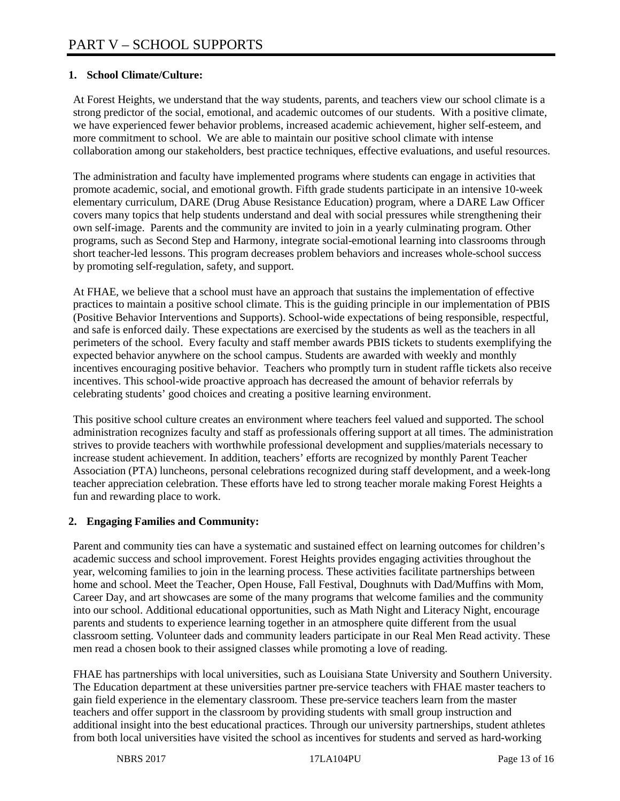## **1. School Climate/Culture:**

At Forest Heights, we understand that the way students, parents, and teachers view our school climate is a strong predictor of the social, emotional, and academic outcomes of our students. With a positive climate, we have experienced fewer behavior problems, increased academic achievement, higher self-esteem, and more commitment to school. We are able to maintain our positive school climate with intense collaboration among our stakeholders, best practice techniques, effective evaluations, and useful resources.

The administration and faculty have implemented programs where students can engage in activities that promote academic, social, and emotional growth. Fifth grade students participate in an intensive 10-week elementary curriculum, DARE (Drug Abuse Resistance Education) program, where a DARE Law Officer covers many topics that help students understand and deal with social pressures while strengthening their own self-image. Parents and the community are invited to join in a yearly culminating program. Other programs, such as Second Step and Harmony, integrate social-emotional learning into classrooms through short teacher-led lessons. This program decreases problem behaviors and increases whole-school success by promoting self-regulation, safety, and support.

At FHAE, we believe that a school must have an approach that sustains the implementation of effective practices to maintain a positive school climate. This is the guiding principle in our implementation of PBIS (Positive Behavior Interventions and Supports). School-wide expectations of being responsible, respectful, and safe is enforced daily. These expectations are exercised by the students as well as the teachers in all perimeters of the school. Every faculty and staff member awards PBIS tickets to students exemplifying the expected behavior anywhere on the school campus. Students are awarded with weekly and monthly incentives encouraging positive behavior. Teachers who promptly turn in student raffle tickets also receive incentives. This school-wide proactive approach has decreased the amount of behavior referrals by celebrating students' good choices and creating a positive learning environment.

This positive school culture creates an environment where teachers feel valued and supported. The school administration recognizes faculty and staff as professionals offering support at all times. The administration strives to provide teachers with worthwhile professional development and supplies/materials necessary to increase student achievement. In addition, teachers' efforts are recognized by monthly Parent Teacher Association (PTA) luncheons, personal celebrations recognized during staff development, and a week-long teacher appreciation celebration. These efforts have led to strong teacher morale making Forest Heights a fun and rewarding place to work.

## **2. Engaging Families and Community:**

Parent and community ties can have a systematic and sustained effect on learning outcomes for children's academic success and school improvement. Forest Heights provides engaging activities throughout the year, welcoming families to join in the learning process. These activities facilitate partnerships between home and school. Meet the Teacher, Open House, Fall Festival, Doughnuts with Dad/Muffins with Mom, Career Day, and art showcases are some of the many programs that welcome families and the community into our school. Additional educational opportunities, such as Math Night and Literacy Night, encourage parents and students to experience learning together in an atmosphere quite different from the usual classroom setting. Volunteer dads and community leaders participate in our Real Men Read activity. These men read a chosen book to their assigned classes while promoting a love of reading.

FHAE has partnerships with local universities, such as Louisiana State University and Southern University. The Education department at these universities partner pre-service teachers with FHAE master teachers to gain field experience in the elementary classroom. These pre-service teachers learn from the master teachers and offer support in the classroom by providing students with small group instruction and additional insight into the best educational practices. Through our university partnerships, student athletes from both local universities have visited the school as incentives for students and served as hard-working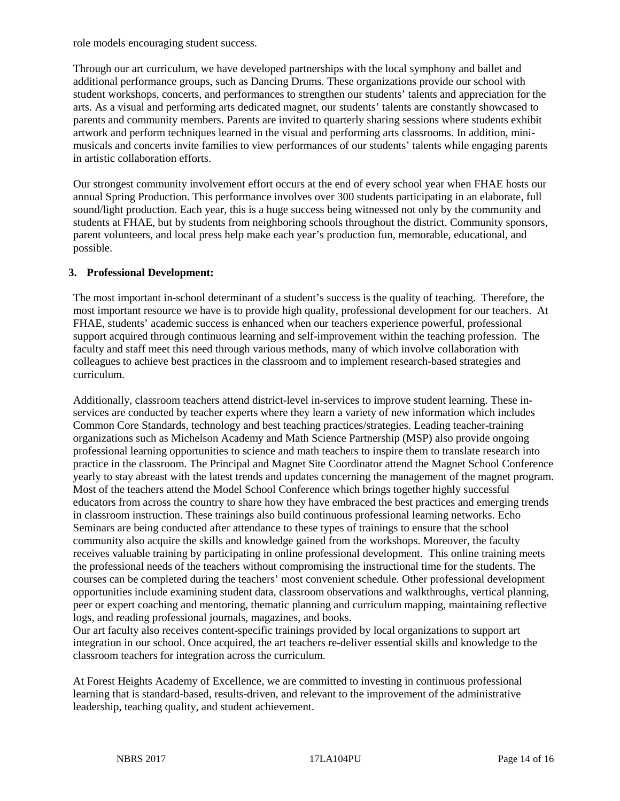role models encouraging student success.

Through our art curriculum, we have developed partnerships with the local symphony and ballet and additional performance groups, such as Dancing Drums. These organizations provide our school with student workshops, concerts, and performances to strengthen our students' talents and appreciation for the arts. As a visual and performing arts dedicated magnet, our students' talents are constantly showcased to parents and community members. Parents are invited to quarterly sharing sessions where students exhibit artwork and perform techniques learned in the visual and performing arts classrooms. In addition, minimusicals and concerts invite families to view performances of our students' talents while engaging parents in artistic collaboration efforts.

Our strongest community involvement effort occurs at the end of every school year when FHAE hosts our annual Spring Production. This performance involves over 300 students participating in an elaborate, full sound/light production. Each year, this is a huge success being witnessed not only by the community and students at FHAE, but by students from neighboring schools throughout the district. Community sponsors, parent volunteers, and local press help make each year's production fun, memorable, educational, and possible.

#### **3. Professional Development:**

The most important in-school determinant of a student's success is the quality of teaching. Therefore, the most important resource we have is to provide high quality, professional development for our teachers. At FHAE, students' academic success is enhanced when our teachers experience powerful, professional support acquired through continuous learning and self-improvement within the teaching profession. The faculty and staff meet this need through various methods, many of which involve collaboration with colleagues to achieve best practices in the classroom and to implement research-based strategies and curriculum.

Additionally, classroom teachers attend district-level in-services to improve student learning. These inservices are conducted by teacher experts where they learn a variety of new information which includes Common Core Standards, technology and best teaching practices/strategies. Leading teacher-training organizations such as Michelson Academy and Math Science Partnership (MSP) also provide ongoing professional learning opportunities to science and math teachers to inspire them to translate research into practice in the classroom. The Principal and Magnet Site Coordinator attend the Magnet School Conference yearly to stay abreast with the latest trends and updates concerning the management of the magnet program. Most of the teachers attend the Model School Conference which brings together highly successful educators from across the country to share how they have embraced the best practices and emerging trends in classroom instruction. These trainings also build continuous professional learning networks. Echo Seminars are being conducted after attendance to these types of trainings to ensure that the school community also acquire the skills and knowledge gained from the workshops. Moreover, the faculty receives valuable training by participating in online professional development. This online training meets the professional needs of the teachers without compromising the instructional time for the students. The courses can be completed during the teachers' most convenient schedule. Other professional development opportunities include examining student data, classroom observations and walkthroughs, vertical planning, peer or expert coaching and mentoring, thematic planning and curriculum mapping, maintaining reflective logs, and reading professional journals, magazines, and books.

Our art faculty also receives content-specific trainings provided by local organizations to support art integration in our school. Once acquired, the art teachers re-deliver essential skills and knowledge to the classroom teachers for integration across the curriculum.

At Forest Heights Academy of Excellence, we are committed to investing in continuous professional learning that is standard-based, results-driven, and relevant to the improvement of the administrative leadership, teaching quality, and student achievement.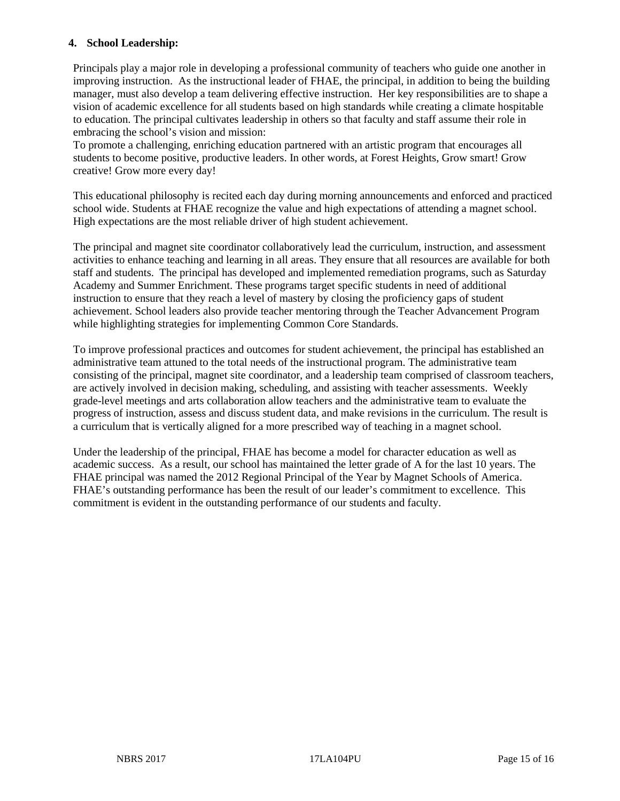#### **4. School Leadership:**

Principals play a major role in developing a professional community of teachers who guide one another in improving instruction. As the instructional leader of FHAE, the principal, in addition to being the building manager, must also develop a team delivering effective instruction. Her key responsibilities are to shape a vision of academic excellence for all students based on high standards while creating a climate hospitable to education. The principal cultivates leadership in others so that faculty and staff assume their role in embracing the school's vision and mission:

To promote a challenging, enriching education partnered with an artistic program that encourages all students to become positive, productive leaders. In other words, at Forest Heights, Grow smart! Grow creative! Grow more every day!

This educational philosophy is recited each day during morning announcements and enforced and practiced school wide. Students at FHAE recognize the value and high expectations of attending a magnet school. High expectations are the most reliable driver of high student achievement.

The principal and magnet site coordinator collaboratively lead the curriculum, instruction, and assessment activities to enhance teaching and learning in all areas. They ensure that all resources are available for both staff and students. The principal has developed and implemented remediation programs, such as Saturday Academy and Summer Enrichment. These programs target specific students in need of additional instruction to ensure that they reach a level of mastery by closing the proficiency gaps of student achievement. School leaders also provide teacher mentoring through the Teacher Advancement Program while highlighting strategies for implementing Common Core Standards.

To improve professional practices and outcomes for student achievement, the principal has established an administrative team attuned to the total needs of the instructional program. The administrative team consisting of the principal, magnet site coordinator, and a leadership team comprised of classroom teachers, are actively involved in decision making, scheduling, and assisting with teacher assessments. Weekly grade-level meetings and arts collaboration allow teachers and the administrative team to evaluate the progress of instruction, assess and discuss student data, and make revisions in the curriculum. The result is a curriculum that is vertically aligned for a more prescribed way of teaching in a magnet school.

Under the leadership of the principal, FHAE has become a model for character education as well as academic success. As a result, our school has maintained the letter grade of A for the last 10 years. The FHAE principal was named the 2012 Regional Principal of the Year by Magnet Schools of America. FHAE's outstanding performance has been the result of our leader's commitment to excellence. This commitment is evident in the outstanding performance of our students and faculty.